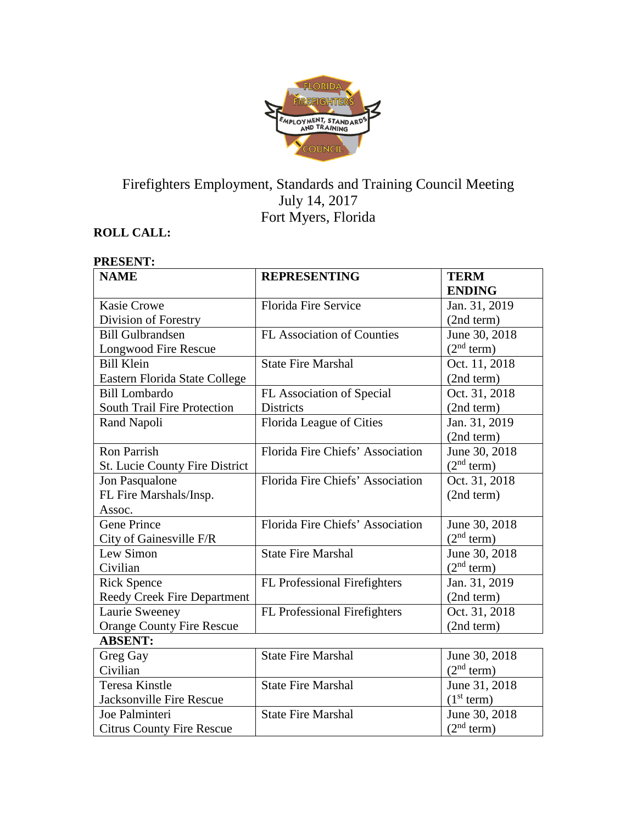

# Firefighters Employment, Standards and Training Council Meeting July 14, 2017 Fort Myers, Florida

# **ROLL CALL:**

#### **PRESENT: NAME REPRESENTING TERM ENDING** Kasie Crowe Division of Forestry Florida Fire Service Jan. 31, 2019 (2nd term) Bill Gulbrandsen Longwood Fire Rescue FL Association of Counties June 30, 2018  $(2<sup>nd</sup> term)$ Bill Klein Eastern Florida State College State Fire Marshal Oct. 11, 2018 (2nd term) Bill Lombardo South Trail Fire Protection FL Association of Special Districts Oct. 31, 2018 (2nd term) Rand Napoli Florida League of Cities Jan. 31, 2019 (2nd term) Ron Parrish St. Lucie County Fire District Florida Fire Chiefs' Association June 30, 2018  $(2<sup>nd</sup> term)$ Jon Pasqualone FL Fire Marshals/Insp. Assoc. Florida Fire Chiefs' Association | Oct. 31, 2018 (2nd term) Gene Prince City of Gainesville F/R Florida Fire Chiefs' Association June 30, 2018  $(2<sup>nd</sup> term)$ Lew Simon Civilian State Fire Marshal June 30, 2018  $(2<sup>nd</sup> term)$ Rick Spence Reedy Creek Fire Department FL Professional Firefighters | Jan. 31, 2019 (2nd term) Laurie Sweeney Orange County Fire Rescue FL Professional Firefighters | Oct. 31, 2018 (2nd term) **ABSENT:** Greg Gay Civilian State Fire Marshal June 30, 2018  $(2<sup>nd</sup> term)$ Teresa Kinstle Jacksonville Fire Rescue State Fire Marshal June 31, 2018  $(1<sup>st</sup> term)$ Joe Palminteri Citrus County Fire Rescue State Fire Marshal June 30, 2018  $(2<sup>nd</sup> term)$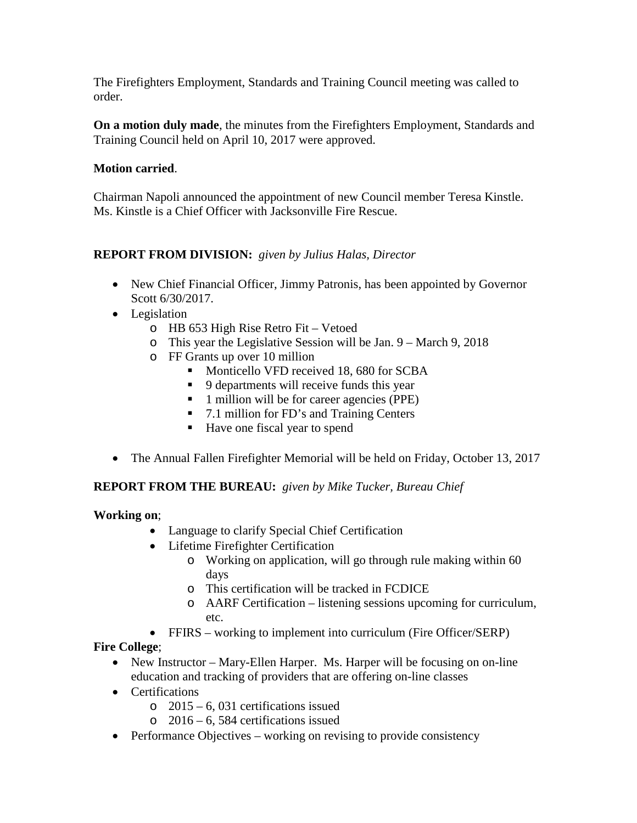The Firefighters Employment, Standards and Training Council meeting was called to order.

**On a motion duly made**, the minutes from the Firefighters Employment, Standards and Training Council held on April 10, 2017 were approved.

### **Motion carried**.

Chairman Napoli announced the appointment of new Council member Teresa Kinstle. Ms. Kinstle is a Chief Officer with Jacksonville Fire Rescue.

# **REPORT FROM DIVISION:** *given by Julius Halas, Director*

- New Chief Financial Officer, Jimmy Patronis, has been appointed by Governor Scott 6/30/2017.
- Legislation
	- o HB 653 High Rise Retro Fit Vetoed
	- o This year the Legislative Session will be Jan. 9 March 9, 2018
	- o FF Grants up over 10 million
		- **Monticello VFD received 18, 680 for SCBA**
		- 9 departments will receive funds this year
		- 1 million will be for career agencies (PPE)
		- 7.1 million for FD's and Training Centers
		- Have one fiscal year to spend
- The Annual Fallen Firefighter Memorial will be held on Friday, October 13, 2017

# **REPORT FROM THE BUREAU:** *given by Mike Tucker, Bureau Chief*

### **Working on**;

- Language to clarify Special Chief Certification
- Lifetime Firefighter Certification
	- o Working on application, will go through rule making within 60 days
	- o This certification will be tracked in FCDICE
	- o AARF Certification listening sessions upcoming for curriculum, etc.
- FFIRS working to implement into curriculum (Fire Officer/SERP)

### **Fire College**;

- New Instructor Mary-Ellen Harper. Ms. Harper will be focusing on on-line education and tracking of providers that are offering on-line classes
- Certifications
	- $\degree$  2015 6, 031 certifications issued
	- o 2016 6, 584 certifications issued
- Performance Objectives working on revising to provide consistency